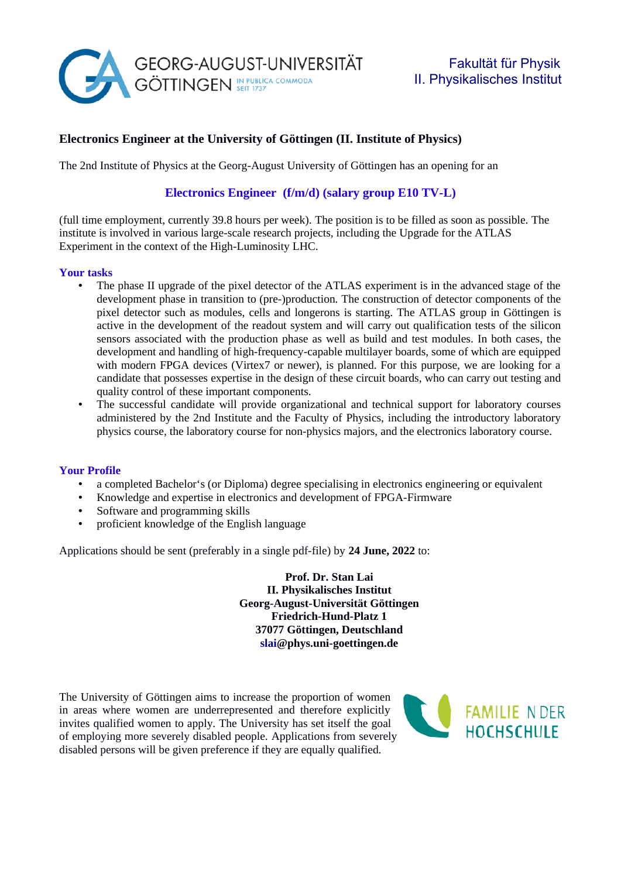

## **Electronics Engineer at the University of Göttingen (II. Institute of Physics)**

The 2nd Institute of Physics at the Georg-August University of Göttingen has an opening for an

# **Electronics Engineer (f/m/d) (salary group E10 TV-L)**

(full time employment, currently 39.8 hours per week). The position is to be filled as soon as possible. The institute is involved in various large-scale research projects, including the Upgrade for the ATLAS Experiment in the context of the High-Luminosity LHC.

#### **Your tasks**

- The phase II upgrade of the pixel detector of the ATLAS experiment is in the advanced stage of the development phase in transition to (pre-)production. The construction of detector components of the pixel detector such as modules, cells and longerons is starting. The ATLAS group in Göttingen is active in the development of the readout system and will carry out qualification tests of the silicon sensors associated with the production phase as well as build and test modules. In both cases, the development and handling of high-frequency-capable multilayer boards, some of which are equipped with modern FPGA devices (Virtex7 or newer), is planned. For this purpose, we are looking for a candidate that possesses expertise in the design of these circuit boards, who can carry out testing and quality control of these important components.
- The successful candidate will provide organizational and technical support for laboratory courses administered by the 2nd Institute and the Faculty of Physics, including the introductory laboratory physics course, the laboratory course for non-physics majors, and the electronics laboratory course.

#### **Your Profile**

- a completed Bachelor's (or Diploma) degree specialising in electronics engineering or equivalent<br>• Knowledge and expertise in electronics and development of FPGA-Firmware
- Knowledge and expertise in electronics and development of FPGA-Firmware
- Software and programming skills
- proficient knowledge of the English language

Applications should be sent (preferably in a single pdf-file) by **24 June, 2022** to:

**Prof. Dr. Stan Lai II. Physikalisches Institut Georg-August-Universität Göttingen Friedrich-Hund-Platz 1 37077 Göttingen, Deutschland slai@phys.uni-goettingen.de**

The University of Göttingen aims to increase the proportion of women in areas where women are underrepresented and therefore explicitly invites qualified women to apply. The University has set itself the goal of employing more severely disabled people. Applications from severely disabled persons will be given preference if they are equally qualified.